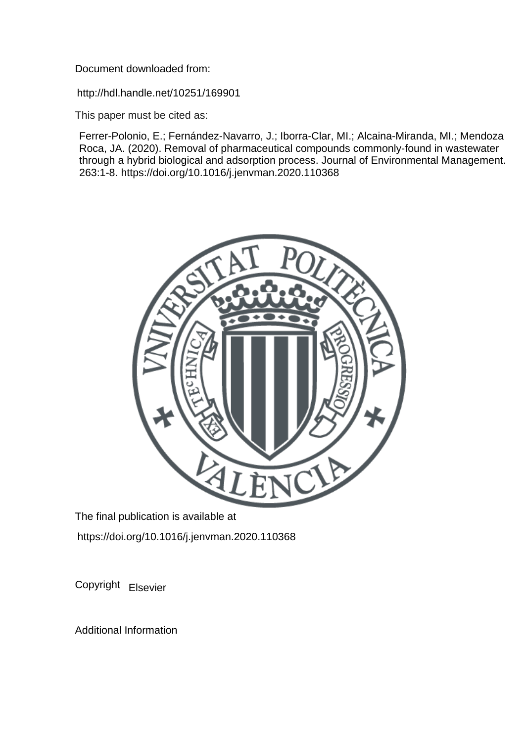Document downloaded from:

http://hdl.handle.net/10251/169901

This paper must be cited as:

Ferrer-Polonio, E.; Fernández-Navarro, J.; Iborra-Clar, MI.; Alcaina-Miranda, MI.; Mendoza Roca, JA. (2020). Removal of pharmaceutical compounds commonly-found in wastewater through a hybrid biological and adsorption process. Journal of Environmental Management. 263:1-8. https://doi.org/10.1016/j.jenvman.2020.110368



The final publication is available at https://doi.org/10.1016/j.jenvman.2020.110368

Copyright Elsevier

Additional Information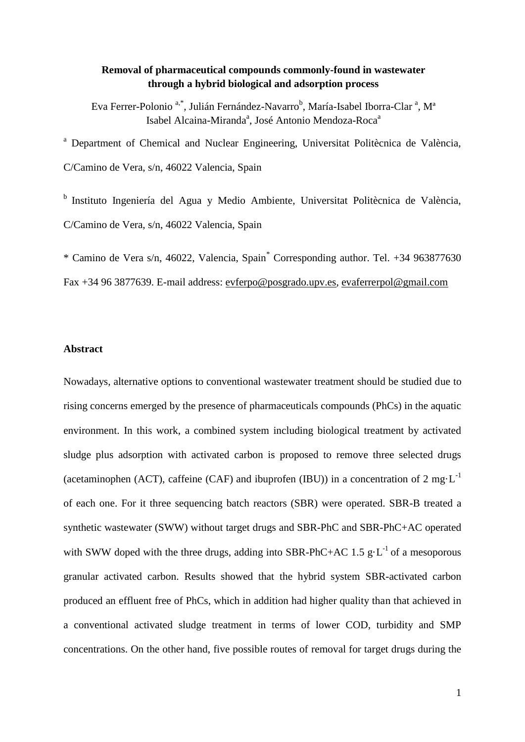# **Removal of pharmaceutical compounds commonly-found in wastewater through a hybrid biological and adsorption process**

Eva Ferrer-Polonio<sup>a,\*</sup>, Julián Fernández-Navarro<sup>b</sup>, María-Isabel Iborra-Clar<sup>a</sup>, M<sup>a</sup> Isabel Alcaina-Miranda<sup>a</sup>, José Antonio Mendoza-Roca<sup>a</sup>

<sup>a</sup> Department of Chemical and Nuclear Engineering, Universitat Politècnica de València, C/Camino de Vera, s/n, 46022 Valencia, Spain

<sup>b</sup> Instituto Ingeniería del Agua y Medio Ambiente, Universitat Politècnica de València, C/Camino de Vera, s/n, 46022 Valencia, Spain

\* Camino de Vera s/n, 46022, Valencia, Spain\* Corresponding author. Tel. +34 963877630

Fax +34 96 3877639. E-mail address: [evferpo@posgrado.upv.es,](mailto:evferpo@posgrado.upv.es) [evaferrerpol@gmail.com](mailto:evaferrerpol@gmail.com)

### **Abstract**

Nowadays, alternative options to conventional wastewater treatment should be studied due to rising concerns emerged by the presence of pharmaceuticals compounds (PhCs) in the aquatic environment. In this work, a combined system including biological treatment by activated sludge plus adsorption with activated carbon is proposed to remove three selected drugs (acetaminophen (ACT), caffeine (CAF) and ibuprofen (IBU)) in a concentration of  $2 \text{ mg} \cdot L^{-1}$ of each one. For it three sequencing batch reactors (SBR) were operated. SBR-B treated a synthetic wastewater (SWW) without target drugs and SBR-PhC and SBR-PhC+AC operated with SWW doped with the three drugs, adding into SBR-PhC+AC 1.5 g·L<sup>-1</sup> of a mesoporous granular activated carbon. Results showed that the hybrid system SBR-activated carbon produced an effluent free of PhCs, which in addition had higher quality than that achieved in a conventional activated sludge treatment in terms of lower COD, turbidity and SMP concentrations. On the other hand, five possible routes of removal for target drugs during the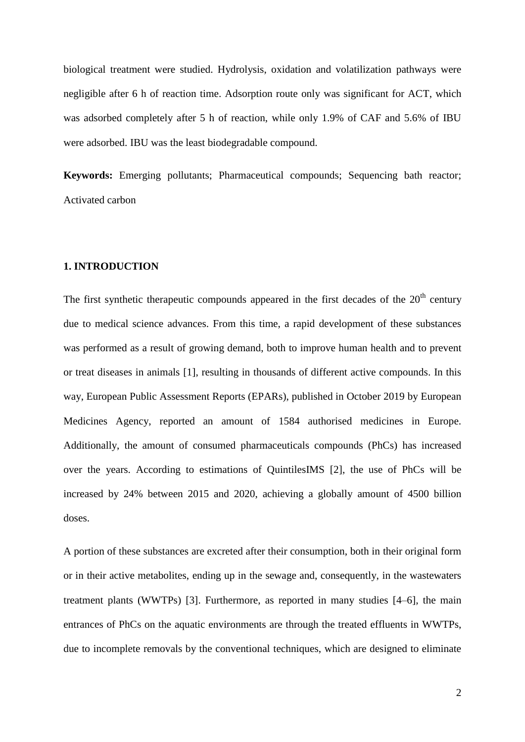biological treatment were studied. Hydrolysis, oxidation and volatilization pathways were negligible after 6 h of reaction time. Adsorption route only was significant for ACT, which was adsorbed completely after 5 h of reaction, while only 1.9% of CAF and 5.6% of IBU were adsorbed. IBU was the least biodegradable compound.

**Keywords:** Emerging pollutants; Pharmaceutical compounds; Sequencing bath reactor; Activated carbon

## **1. INTRODUCTION**

The first synthetic therapeutic compounds appeared in the first decades of the  $20<sup>th</sup>$  century due to medical science advances. From this time, a rapid development of these substances was performed as a result of growing demand, both to improve human health and to prevent or treat diseases in animals [1], resulting in thousands of different active compounds. In this way, European Public Assessment Reports (EPARs), published in October 2019 by European Medicines Agency, reported an amount of 1584 authorised medicines in Europe. Additionally, the amount of consumed pharmaceuticals compounds (PhCs) has increased over the years. According to estimations of QuintilesIMS [2], the use of PhCs will be increased by 24% between 2015 and 2020, achieving a globally amount of 4500 billion doses.

A portion of these substances are excreted after their consumption, both in their original form or in their active metabolites, ending up in the sewage and, consequently, in the wastewaters treatment plants (WWTPs) [3]. Furthermore, as reported in many studies [4–6], the main entrances of PhCs on the aquatic environments are through the treated effluents in WWTPs, due to incomplete removals by the conventional techniques, which are designed to eliminate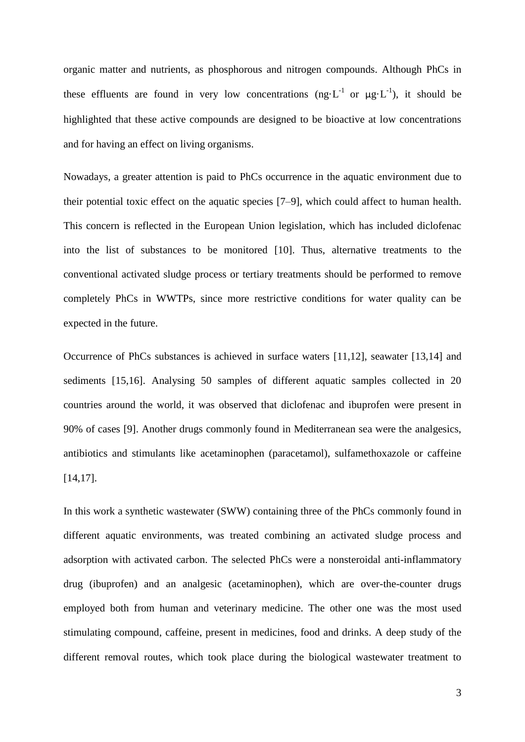organic matter and nutrients, as phosphorous and nitrogen compounds. Although PhCs in these effluents are found in very low concentrations  $(ng \cdot L^{-1} \text{ or } \mu g \cdot L^{-1})$ , it should be highlighted that these active compounds are designed to be bioactive at low concentrations and for having an effect on living organisms.

Nowadays, a greater attention is paid to PhCs occurrence in the aquatic environment due to their potential toxic effect on the aquatic species [7–9], which could affect to human health. This concern is reflected in the European Union legislation, which has included diclofenac into the list of substances to be monitored [10]. Thus, alternative treatments to the conventional activated sludge process or tertiary treatments should be performed to remove completely PhCs in WWTPs, since more restrictive conditions for water quality can be expected in the future.

Occurrence of PhCs substances is achieved in surface waters [11,12], seawater [13,14] and sediments [15,16]. Analysing 50 samples of different aquatic samples collected in 20 countries around the world, it was observed that diclofenac and ibuprofen were present in 90% of cases [9]. Another drugs commonly found in Mediterranean sea were the analgesics, antibiotics and stimulants like acetaminophen (paracetamol), sulfamethoxazole or caffeine [14,17].

In this work a synthetic wastewater (SWW) containing three of the PhCs commonly found in different aquatic environments, was treated combining an activated sludge process and adsorption with activated carbon. The selected PhCs were a nonsteroidal anti-inflammatory drug (ibuprofen) and an analgesic (acetaminophen), which are over-the-counter drugs employed both from human and veterinary medicine. The other one was the most used stimulating compound, caffeine, present in medicines, food and drinks. A deep study of the different removal routes, which took place during the biological wastewater treatment to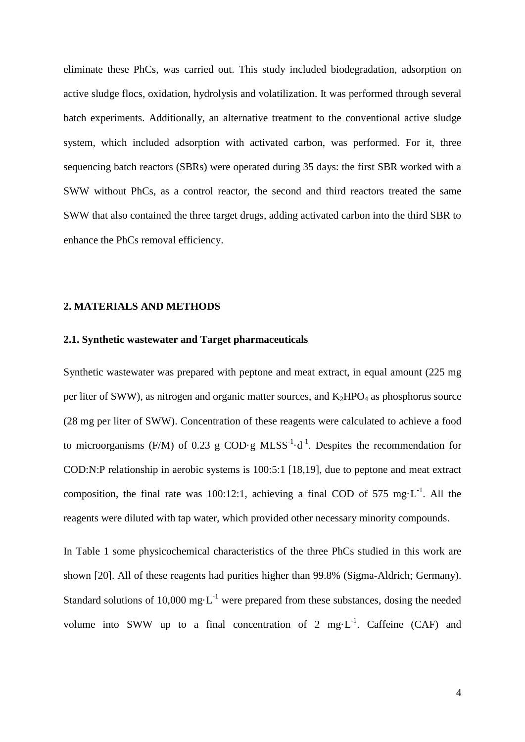eliminate these PhCs, was carried out. This study included biodegradation, adsorption on active sludge flocs, oxidation, hydrolysis and volatilization. It was performed through several batch experiments. Additionally, an alternative treatment to the conventional active sludge system, which included adsorption with activated carbon, was performed. For it, three sequencing batch reactors (SBRs) were operated during 35 days: the first SBR worked with a SWW without PhCs, as a control reactor, the second and third reactors treated the same SWW that also contained the three target drugs, adding activated carbon into the third SBR to enhance the PhCs removal efficiency.

## **2. MATERIALS AND METHODS**

#### **2.1. Synthetic wastewater and Target pharmaceuticals**

Synthetic wastewater was prepared with peptone and meat extract, in equal amount (225 mg per liter of SWW), as nitrogen and organic matter sources, and  $K_2HPO_4$  as phosphorus source (28 mg per liter of SWW). Concentration of these reagents were calculated to achieve a food to microorganisms (F/M) of 0.23 g COD·g MLSS<sup>-1</sup>·d<sup>-1</sup>. Despites the recommendation for COD:N:P relationship in aerobic systems is 100:5:1 [18,19], due to peptone and meat extract composition, the final rate was 100:12:1, achieving a final COD of 575 mg $\cdot L^{-1}$ . All the reagents were diluted with tap water, which provided other necessary minority compounds.

In Table 1 some physicochemical characteristics of the three PhCs studied in this work are shown [20]. All of these reagents had purities higher than 99.8% (Sigma-Aldrich; Germany). Standard solutions of 10,000 mg·L<sup>-1</sup> were prepared from these substances, dosing the needed volume into SWW up to a final concentration of 2 mg $\cdot L^{-1}$ . Caffeine (CAF) and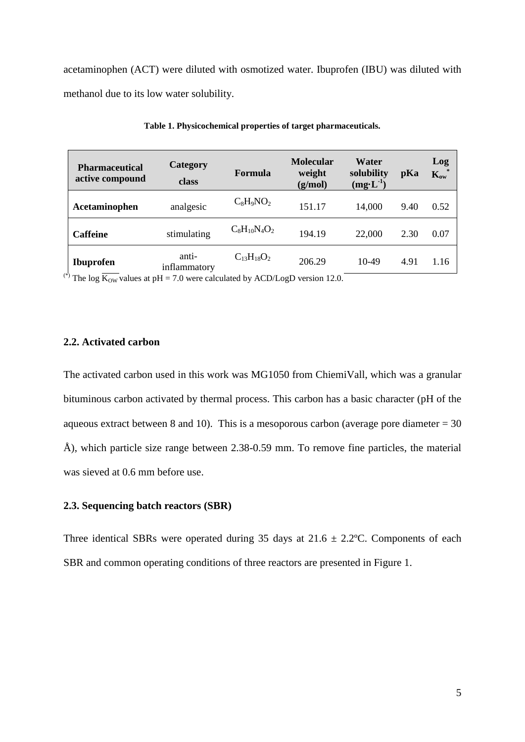acetaminophen (ACT) were diluted with osmotized water. Ibuprofen (IBU) was diluted with methanol due to its low water solubility.

| <b>Pharmaceutical</b><br>active compound                                                                                                                                                                                                                                                                                                                                                        | Category<br>class                                                                                                                        | Formula           | <b>Molecular</b><br>weight<br>(g/mol) | Water<br>solubility<br>$(mg·L^{-1})$ | pKa  | Log<br>$K_{ow}$ |
|-------------------------------------------------------------------------------------------------------------------------------------------------------------------------------------------------------------------------------------------------------------------------------------------------------------------------------------------------------------------------------------------------|------------------------------------------------------------------------------------------------------------------------------------------|-------------------|---------------------------------------|--------------------------------------|------|-----------------|
| Acetaminophen                                                                                                                                                                                                                                                                                                                                                                                   | analgesic                                                                                                                                | $C_8H_9NO_2$      | 151.17                                | 14,000                               | 9.40 | 0.52            |
| <b>Caffeine</b>                                                                                                                                                                                                                                                                                                                                                                                 | stimulating                                                                                                                              | $C_8H_{10}N_4O_2$ | 194.19                                | 22,000                               | 2.30 | 0.07            |
| <b>Ibuprofen</b><br>$*$ $\overline{r}$ $\overline{r}$ $\overline{r}$ $\overline{r}$ $\overline{r}$ $\overline{r}$ $\overline{r}$ $\overline{r}$ $\overline{r}$ $\overline{r}$ $\overline{r}$ $\overline{r}$ $\overline{r}$ $\overline{r}$ $\overline{r}$ $\overline{r}$ $\overline{r}$ $\overline{r}$ $\overline{r}$ $\overline{r}$ $\overline{r}$ $\overline{r}$ $\overline{r}$ $\overline{r}$ | anti-<br>inflammatory<br>$\overline{11}$ $\overline{70}$ $\overline{11}$ $\overline{11}$ $\overline{100}$ $\overline{1}$ $\overline{11}$ | $C_{13}H_{18}O_2$ | 206.29<br>10 <sub>0</sub>             | $10-49$                              | 4.91 | 1.16            |

**Table 1. Physicochemical properties of target pharmaceuticals.**

<sup>(\*)</sup> The log  $\overline{K_{OW}}$  values at pH = 7.0 were calculated by ACD/LogD version 12.0.

# **2.2. Activated carbon**

The activated carbon used in this work was MG1050 from ChiemiVall, which was a granular bituminous carbon activated by thermal process. This carbon has a basic character (pH of the aqueous extract between 8 and 10). This is a mesoporous carbon (average pore diameter  $= 30$ ) Å), which particle size range between 2.38-0.59 mm. To remove fine particles, the material was sieved at 0.6 mm before use.

### **2.3. Sequencing batch reactors (SBR)**

Three identical SBRs were operated during 35 days at  $21.6 \pm 2.2$ °C. Components of each SBR and common operating conditions of three reactors are presented in Figure 1.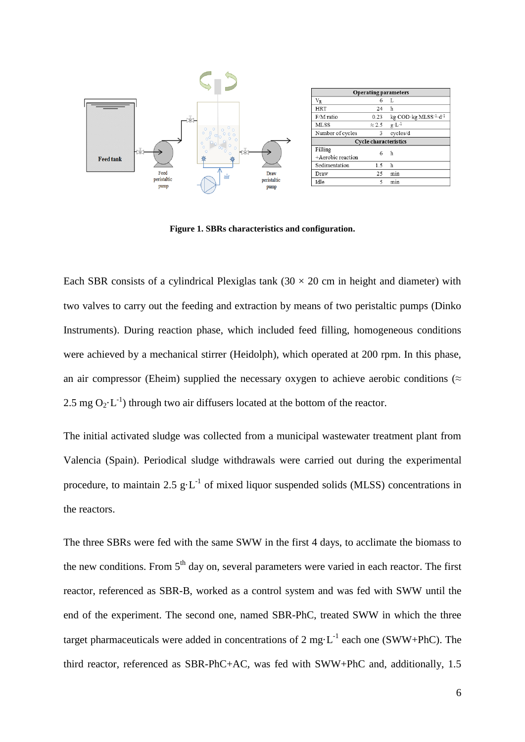

**Figure 1. SBRs characteristics and configuration.**

Each SBR consists of a cylindrical Plexiglas tank  $(30 \times 20 \text{ cm})$  in height and diameter) with two valves to carry out the feeding and extraction by means of two peristaltic pumps (Dinko Instruments). During reaction phase, which included feed filling, homogeneous conditions were achieved by a mechanical stirrer (Heidolph), which operated at 200 rpm. In this phase, an air compressor (Eheim) supplied the necessary oxygen to achieve aerobic conditions ( $\approx$ 2.5 mg  $O_2 \cdot L^{-1}$ ) through two air diffusers located at the bottom of the reactor.

The initial activated sludge was collected from a municipal wastewater treatment plant from Valencia (Spain). Periodical sludge withdrawals were carried out during the experimental procedure, to maintain 2.5  $g \cdot L^{-1}$  of mixed liquor suspended solids (MLSS) concentrations in the reactors.

The three SBRs were fed with the same SWW in the first 4 days, to acclimate the biomass to the new conditions. From  $5<sup>th</sup>$  day on, several parameters were varied in each reactor. The first reactor, referenced as SBR-B, worked as a control system and was fed with SWW until the end of the experiment. The second one, named SBR-PhC, treated SWW in which the three target pharmaceuticals were added in concentrations of 2 mg $\cdot L^{-1}$  each one (SWW+PhC). The third reactor, referenced as SBR-PhC+AC, was fed with SWW+PhC and, additionally, 1.5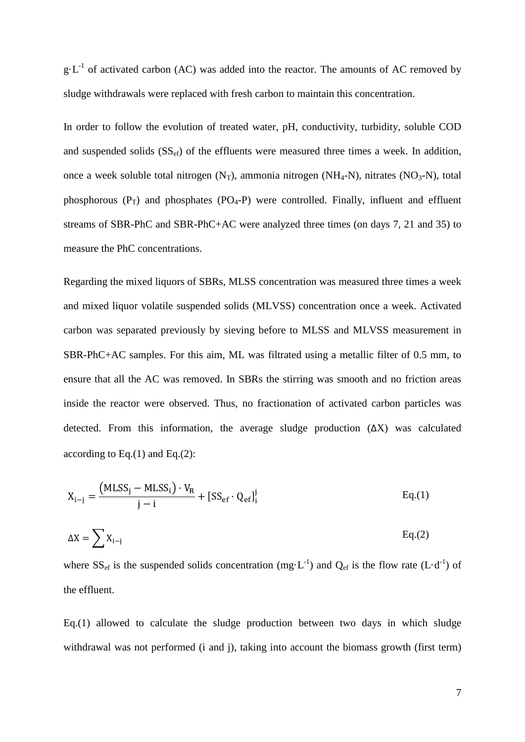$g \cdot L^{-1}$  of activated carbon (AC) was added into the reactor. The amounts of AC removed by sludge withdrawals were replaced with fresh carbon to maintain this concentration.

In order to follow the evolution of treated water, pH, conductivity, turbidity, soluble COD and suspended solids  $(SS<sub>ef</sub>)$  of the effluents were measured three times a week. In addition, once a week soluble total nitrogen  $(N_T)$ , ammonia nitrogen  $(NH_4-N)$ , nitrates  $(NO_3-N)$ , total phosphorous  $(P_T)$  and phosphates  $(PO_4-P)$  were controlled. Finally, influent and effluent streams of SBR-PhC and SBR-PhC+AC were analyzed three times (on days 7, 21 and 35) to measure the PhC concentrations.

Regarding the mixed liquors of SBRs, MLSS concentration was measured three times a week and mixed liquor volatile suspended solids (MLVSS) concentration once a week. Activated carbon was separated previously by sieving before to MLSS and MLVSS measurement in SBR-PhC+AC samples. For this aim, ML was filtrated using a metallic filter of 0.5 mm, to ensure that all the AC was removed. In SBRs the stirring was smooth and no friction areas inside the reactor were observed. Thus, no fractionation of activated carbon particles was detected. From this information, the average sludge production  $(\Delta X)$  was calculated according to Eq. $(1)$  and Eq. $(2)$ :

<span id="page-7-0"></span>
$$
X_{i-j} = \frac{(MLSS_j - MLSS_i) \cdot V_R}{j-i} + [SS_{ef} \cdot Q_{ef}]_i^j
$$
 Eq.(1)

<span id="page-7-1"></span>
$$
\Delta X = \sum X_{i-j} \tag{2}
$$

where  $SS_{\text{ef}}$  is the suspended solids concentration (mg·L<sup>-1</sup>) and Q<sub>ef</sub> is the flow rate (L·d<sup>-1</sup>) of the effluent.

[Eq.\(1\)](#page-7-0) allowed to calculate the sludge production between two days in which sludge withdrawal was not performed (i and j), taking into account the biomass growth (first term)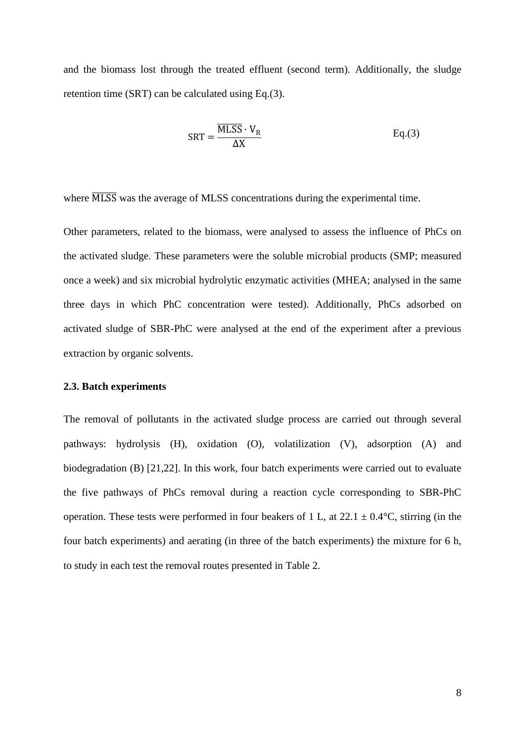and the biomass lost through the treated effluent (second term). Additionally, the sludge retention time (SRT) can be calculated using [Eq.\(3\).](#page-8-0)

<span id="page-8-0"></span>
$$
SRT = \frac{\overline{MLSS} \cdot V_R}{\Delta X}
$$
 Eq.(3)

where  $\overline{MLSS}$  was the average of MLSS concentrations during the experimental time.

Other parameters, related to the biomass, were analysed to assess the influence of PhCs on the activated sludge. These parameters were the soluble microbial products (SMP; measured once a week) and six microbial hydrolytic enzymatic activities (MHEA; analysed in the same three days in which PhC concentration were tested). Additionally, PhCs adsorbed on activated sludge of SBR-PhC were analysed at the end of the experiment after a previous extraction by organic solvents.

#### **2.3. Batch experiments**

The removal of pollutants in the activated sludge process are carried out through several pathways: hydrolysis (H), oxidation (O), volatilization (V), adsorption (A) and biodegradation (B) [21,22]. In this work, four batch experiments were carried out to evaluate the five pathways of PhCs removal during a reaction cycle corresponding to SBR-PhC operation. These tests were performed in four beakers of 1 L, at  $22.1 \pm 0.4$ °C, stirring (in the four batch experiments) and aerating (in three of the batch experiments) the mixture for 6 h, to study in each test the removal routes presented in Table 2.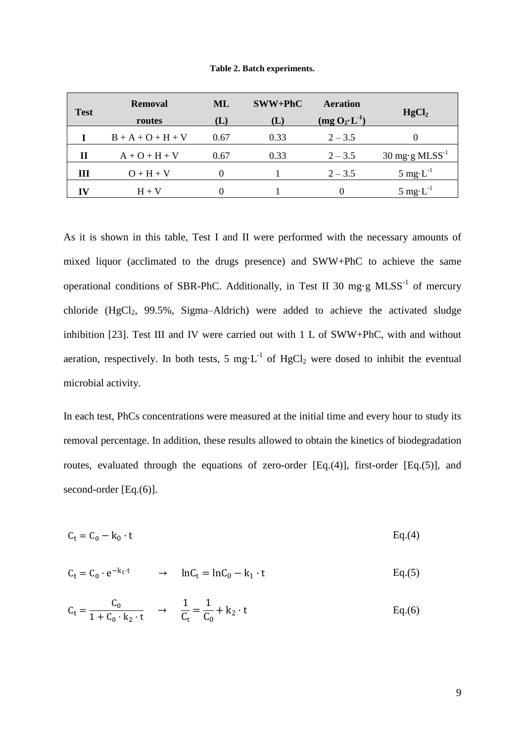|  |  | Table 2. Batch experiments. |
|--|--|-----------------------------|
|--|--|-----------------------------|

| <b>Test</b> | <b>Removal</b><br>routes | ML<br>$\mathbf{L}$ | $SWW + PhC$<br>$(\mathbf{L})$ | Aeration<br>$(\text{mg } O_2 \cdot L^{-1})$ | HgCl <sub>2</sub>                                |
|-------------|--------------------------|--------------------|-------------------------------|---------------------------------------------|--------------------------------------------------|
|             | $B + A + O + H + V$      | 0.67               | 0.33                          | $2 - 3.5$                                   | $\mathbf{\Omega}$                                |
| П           | $A + O + H + V$          | 0.67               | 0.33                          | $2 - 3.5$                                   | $30 \text{ mg} \cdot \text{g} \text{ MLSS}^{-1}$ |
| Ш           | $O + H + V$              |                    |                               | $2 - 3.5$                                   | $5 \text{ mg} \cdot L^{-1}$                      |
|             | $H + V$                  |                    |                               | $\theta$                                    | 5 mg $\cdot L^{-1}$                              |

As it is shown in this table, Test I and II were performed with the necessary amounts of mixed liquor (acclimated to the drugs presence) and SWW+PhC to achieve the same operational conditions of SBR-PhC. Additionally, in Test II 30 mg·g  $MLSS^{-1}$  of mercury chloride  $(HgCl<sub>2</sub>, 99.5\%, Sigma-Aldrich)$  were added to achieve the activated sludge inhibition [23]. Test III and IV were carried out with 1 L of SWW+PhC, with and without aeration, respectively. In both tests, 5 mg $\cdot L^{-1}$  of HgCl<sub>2</sub> were dosed to inhibit the eventual microbial activity.

In each test, PhCs concentrations were measured at the initial time and every hour to study its removal percentage. In addition, these results allowed to obtain the kinetics of biodegradation routes, evaluated through the equations of zero-order [\[Eq.\(4\)\]](#page-9-0), first-order [\[Eq.\(5\)\]](#page-9-1), and second-order [\[Eq.\(6\)\]](#page-9-2).

<span id="page-9-0"></span>
$$
C_t = C_0 - k_0 \cdot t \tag{Eq. (4)}
$$

<span id="page-9-1"></span>
$$
C_t = C_0 \cdot e^{-k_1 \cdot t} \qquad \rightarrow \qquad \ln C_t = \ln C_0 - k_1 \cdot t \qquad \qquad Eq.(5)
$$

<span id="page-9-2"></span>
$$
C_t = \frac{C_0}{1 + C_0 \cdot k_2 \cdot t} \rightarrow \frac{1}{C_t} = \frac{1}{C_0} + k_2 \cdot t
$$
 Eq.(6)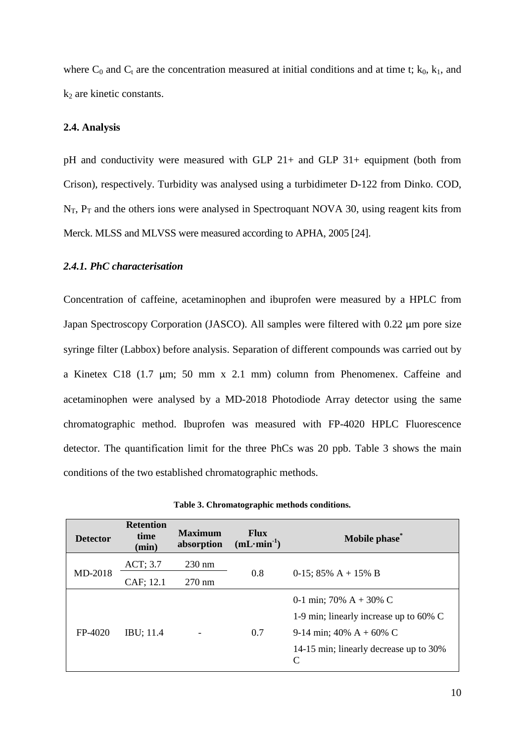where  $C_0$  and  $C_t$  are the concentration measured at initial conditions and at time t;  $k_0$ ,  $k_1$ , and  $k_2$  are kinetic constants.

### **2.4. Analysis**

pH and conductivity were measured with GLP 21+ and GLP 31+ equipment (both from Crison), respectively. Turbidity was analysed using a turbidimeter D-122 from Dinko. COD,  $N_T$ ,  $P_T$  and the others ions were analysed in Spectroquant NOVA 30, using reagent kits from Merck. MLSS and MLVSS were measured according to APHA, 2005 [24].

## *2.4.1. PhC characterisation*

Concentration of caffeine, acetaminophen and ibuprofen were measured by a HPLC from Japan Spectroscopy Corporation (JASCO). All samples were filtered with 0.22  $\mu$ m pore size syringe filter (Labbox) before analysis. Separation of different compounds was carried out by a Kinetex C18 (1.7 µm; 50 mm x 2.1 mm) column from Phenomenex. Caffeine and acetaminophen were analysed by a MD-2018 Photodiode Array detector using the same chromatographic method. Ibuprofen was measured with FP-4020 HPLC Fluorescence detector. The quantification limit for the three PhCs was 20 ppb. Table 3 shows the main conditions of the two established chromatographic methods.

| <b>Detector</b> | <b>Retention</b><br>time<br>(min) | <b>Maximum</b><br>absorption | <b>Flux</b><br>$(mL·min-1)$ | Mobile phase*                               |  |
|-----------------|-----------------------------------|------------------------------|-----------------------------|---------------------------------------------|--|
|                 | ACT; 3.7                          | $230 \text{ nm}$             |                             |                                             |  |
| MD-2018         | CAF; 12.1                         | $270 \text{ nm}$             | 0.8                         | 0-15; 85% $A + 15% B$                       |  |
|                 |                                   |                              |                             | 0-1 min; 70% $A + 30% C$                    |  |
|                 |                                   |                              |                             | 1-9 min; linearly increase up to 60% C      |  |
| $FP-4020$       | <b>IBU</b> ; 11.4                 |                              | 0.7                         | 9-14 min; 40% $A + 60% C$                   |  |
|                 |                                   |                              |                             | 14-15 min; linearly decrease up to 30%<br>C |  |

**Table 3. Chromatographic methods conditions.**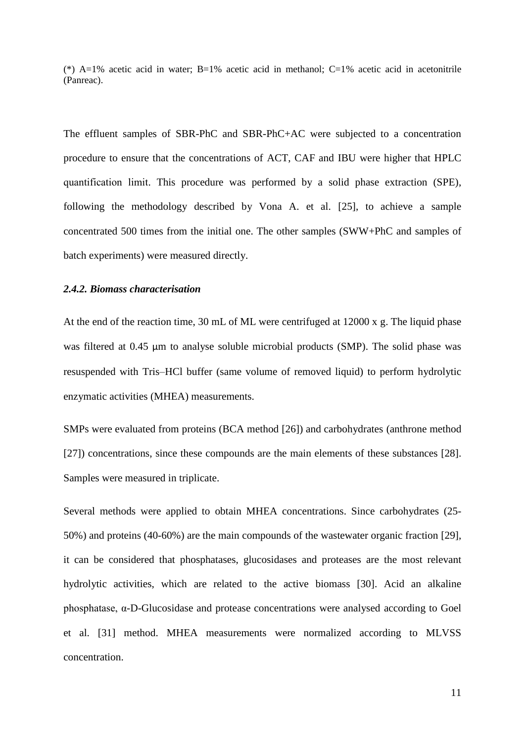(\*) A=1% acetic acid in water; B=1% acetic acid in methanol; C=1% acetic acid in acetonitrile (Panreac).

The effluent samples of SBR-PhC and SBR-PhC+AC were subjected to a concentration procedure to ensure that the concentrations of ACT, CAF and IBU were higher that HPLC quantification limit. This procedure was performed by a solid phase extraction (SPE), following the methodology described by Vona A. et al. [25], to achieve a sample concentrated 500 times from the initial one. The other samples (SWW+PhC and samples of batch experiments) were measured directly.

## *2.4.2. Biomass characterisation*

At the end of the reaction time, 30 mL of ML were centrifuged at 12000 x g. The liquid phase was filtered at 0.45 µm to analyse soluble microbial products (SMP). The solid phase was resuspended with Tris–HCl buffer (same volume of removed liquid) to perform hydrolytic enzymatic activities (MHEA) measurements.

SMPs were evaluated from proteins (BCA method [26]) and carbohydrates (anthrone method [27]) concentrations, since these compounds are the main elements of these substances [28]. Samples were measured in triplicate.

Several methods were applied to obtain MHEA concentrations. Since carbohydrates (25- 50%) and proteins (40-60%) are the main compounds of the wastewater organic fraction [29], it can be considered that phosphatases, glucosidases and proteases are the most relevant hydrolytic activities, which are related to the active biomass [30]. Acid an alkaline phosphatase, α-D-Glucosidase and protease concentrations were analysed according to Goel et al. [31] method. MHEA measurements were normalized according to MLVSS concentration.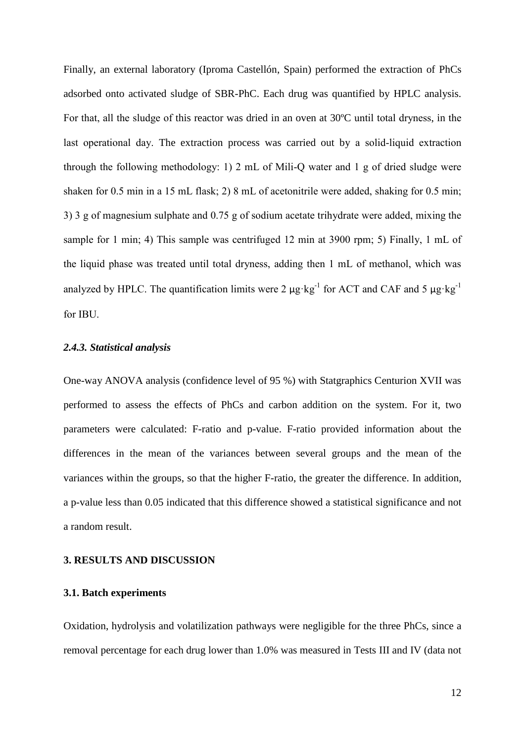Finally, an external laboratory (Iproma Castellón, Spain) performed the extraction of PhCs adsorbed onto activated sludge of SBR-PhC. Each drug was quantified by HPLC analysis. For that, all the sludge of this reactor was dried in an oven at 30ºC until total dryness, in the last operational day. The extraction process was carried out by a solid-liquid extraction through the following methodology: 1) 2 mL of Mili-Q water and 1 g of dried sludge were shaken for 0.5 min in a 15 mL flask; 2) 8 mL of acetonitrile were added, shaking for 0.5 min; 3) 3 g of magnesium sulphate and 0.75 g of sodium acetate trihydrate were added, mixing the sample for 1 min; 4) This sample was centrifuged 12 min at 3900 rpm; 5) Finally, 1 mL of the liquid phase was treated until total dryness, adding then 1 mL of methanol, which was analyzed by HPLC. The quantification limits were 2  $\mu$ g·kg<sup>-1</sup> for ACT and CAF and 5  $\mu$ g·kg<sup>-1</sup> for IBU.

#### *2.4.3. Statistical analysis*

One-way ANOVA analysis (confidence level of 95 %) with Statgraphics Centurion XVII was performed to assess the effects of PhCs and carbon addition on the system. For it, two parameters were calculated: F-ratio and p-value. F-ratio provided information about the differences in the mean of the variances between several groups and the mean of the variances within the groups, so that the higher F-ratio, the greater the difference. In addition, a p-value less than 0.05 indicated that this difference showed a statistical significance and not a random result.

#### **3. RESULTS AND DISCUSSION**

# **3.1. Batch experiments**

Oxidation, hydrolysis and volatilization pathways were negligible for the three PhCs, since a removal percentage for each drug lower than 1.0% was measured in Tests III and IV (data not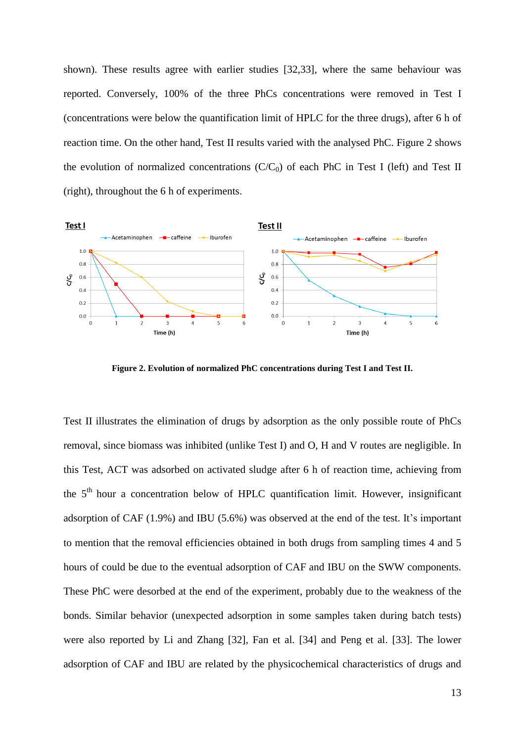shown). These results agree with earlier studies [32,33], where the same behaviour was reported. Conversely, 100% of the three PhCs concentrations were removed in Test I (concentrations were below the quantification limit of HPLC for the three drugs), after 6 h of reaction time. On the other hand, Test II results varied with the analysed PhC. Figure 2 shows the evolution of normalized concentrations  $(C/C_0)$  of each PhC in Test I (left) and Test II (right), throughout the 6 h of experiments.



**Figure 2. Evolution of normalized PhC concentrations during Test I and Test II.** 

Test II illustrates the elimination of drugs by adsorption as the only possible route of PhCs removal, since biomass was inhibited (unlike Test I) and O, H and V routes are negligible. In this Test, ACT was adsorbed on activated sludge after 6 h of reaction time, achieving from the  $5<sup>th</sup>$  hour a concentration below of HPLC quantification limit. However, insignificant adsorption of CAF (1.9%) and IBU (5.6%) was observed at the end of the test. It's important to mention that the removal efficiencies obtained in both drugs from sampling times 4 and 5 hours of could be due to the eventual adsorption of CAF and IBU on the SWW components. These PhC were desorbed at the end of the experiment, probably due to the weakness of the bonds. Similar behavior (unexpected adsorption in some samples taken during batch tests) were also reported by Li and Zhang [32], Fan et al. [34] and Peng et al. [33]. The lower adsorption of CAF and IBU are related by the physicochemical characteristics of drugs and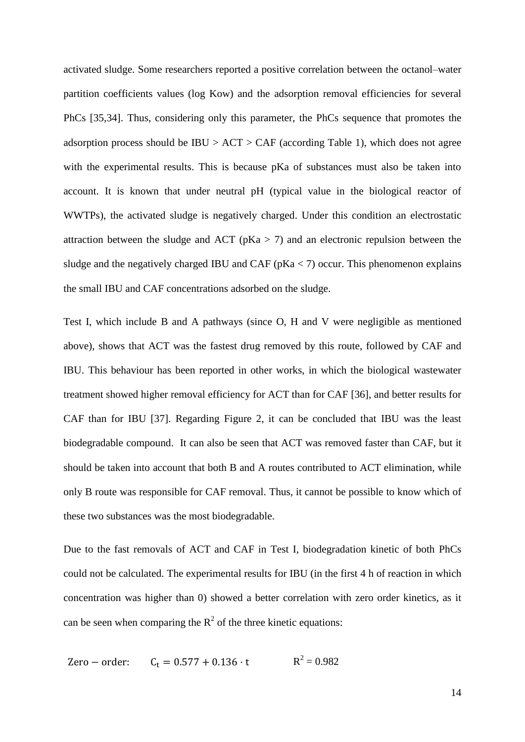activated sludge. Some researchers reported a positive correlation between the octanol–water partition coefficients values (log Kow) and the adsorption removal efficiencies for several PhCs [35,34]. Thus, considering only this parameter, the PhCs sequence that promotes the adsorption process should be  $IBU > ACT > CAF$  (according Table 1), which does not agree with the experimental results. This is because pKa of substances must also be taken into account. It is known that under neutral pH (typical value in the biological reactor of WWTPs), the activated sludge is negatively charged. Under this condition an electrostatic attraction between the sludge and ACT ( $pKa > 7$ ) and an electronic repulsion between the sludge and the negatively charged IBU and CAF ( $pKa < 7$ ) occur. This phenomenon explains the small IBU and CAF concentrations adsorbed on the sludge.

Test I, which include B and A pathways (since O, H and V were negligible as mentioned above), shows that ACT was the fastest drug removed by this route, followed by CAF and IBU. This behaviour has been reported in other works, in which the biological wastewater treatment showed higher removal efficiency for ACT than for CAF [36], and better results for CAF than for IBU [37]. Regarding Figure 2, it can be concluded that IBU was the least biodegradable compound. It can also be seen that ACT was removed faster than CAF, but it should be taken into account that both B and A routes contributed to ACT elimination, while only B route was responsible for CAF removal. Thus, it cannot be possible to know which of these two substances was the most biodegradable.

Due to the fast removals of ACT and CAF in Test I, biodegradation kinetic of both PhCs could not be calculated. The experimental results for IBU (in the first 4 h of reaction in which concentration was higher than 0) showed a better correlation with zero order kinetics, as it can be seen when comparing the  $R^2$  of the three kinetic equations:

Zero – order: 
$$
C_t = 0.577 + 0.136 \cdot t
$$
  $R^2 = 0.982$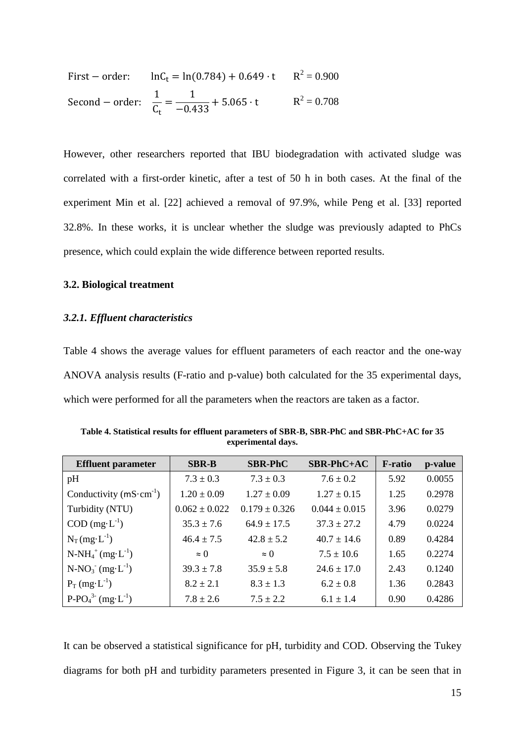First – order: 
$$
lnC_t = ln(0.784) + 0.649 \cdot t
$$
  $R^2 = 0.900$   
Second – order:  $\frac{1}{C_t} = \frac{1}{-0.433} + 5.065 \cdot t$   $R^2 = 0.708$ 

However, other researchers reported that IBU biodegradation with activated sludge was correlated with a first-order kinetic, after a test of 50 h in both cases. At the final of the experiment Min et al. [22] achieved a removal of 97.9%, while Peng et al. [33] reported 32.8%. In these works, it is unclear whether the sludge was previously adapted to PhCs presence, which could explain the wide difference between reported results.

## **3.2. Biological treatment**

## *3.2.1. Effluent characteristics*

Table 4 shows the average values for effluent parameters of each reactor and the one-way ANOVA analysis results (F-ratio and p-value) both calculated for the 35 experimental days, which were performed for all the parameters when the reactors are taken as a factor.

| <b>Effluent parameter</b>         | <b>SBR-B</b>      | <b>SBR-PhC</b>    | $SBR-PhC+AC$      | <b>F</b> -ratio | p-value |
|-----------------------------------|-------------------|-------------------|-------------------|-----------------|---------|
| pH                                | $7.3 \pm 0.3$     | $7.3 \pm 0.3$     | $7.6 + 0.2$       | 5.92            | 0.0055  |
| Conductivity $(mS \cdot cm^{-1})$ | $1.20 \pm 0.09$   | $1.27 \pm 0.09$   | $1.27 \pm 0.15$   | 1.25            | 0.2978  |
| Turbidity (NTU)                   | $0.062 \pm 0.022$ | $0.179 \pm 0.326$ | $0.044 \pm 0.015$ | 3.96            | 0.0279  |
| $COD \, (mg \cdot L^{-1})$        | $35.3 \pm 7.6$    | $64.9 \pm 17.5$   | $37.3 \pm 27.2$   | 4.79            | 0.0224  |
| $N_T(mg \cdot L^{-1})$            | $46.4 \pm 7.5$    | $42.8 \pm 5.2$    | $40.7 + 14.6$     | 0.89            | 0.4284  |
| $N-NH_4^+(mg \cdot L^{-1})$       | $\approx$ 0       | $\approx 0$       | $7.5 \pm 10.6$    | 1.65            | 0.2274  |
| $N-NO_3$ (mg·L <sup>-1</sup> )    | $39.3 \pm 7.8$    | $35.9 \pm 5.8$    | $24.6 + 17.0$     | 2.43            | 0.1240  |
| $P_T$ (mg·L <sup>-1</sup> )       | $8.2 \pm 2.1$     | $8.3 \pm 1.3$     | $6.2 \pm 0.8$     | 1.36            | 0.2843  |
| $P-PO43-(mg·L-1)$                 | $7.8 \pm 2.6$     | $7.5 \pm 2.2$     | $6.1 \pm 1.4$     | 0.90            | 0.4286  |

**Table 4. Statistical results for effluent parameters of SBR-B, SBR-PhC and SBR-PhC+AC for 35 experimental days.**

It can be observed a statistical significance for pH, turbidity and COD. Observing the Tukey diagrams for both pH and turbidity parameters presented in Figure 3, it can be seen that in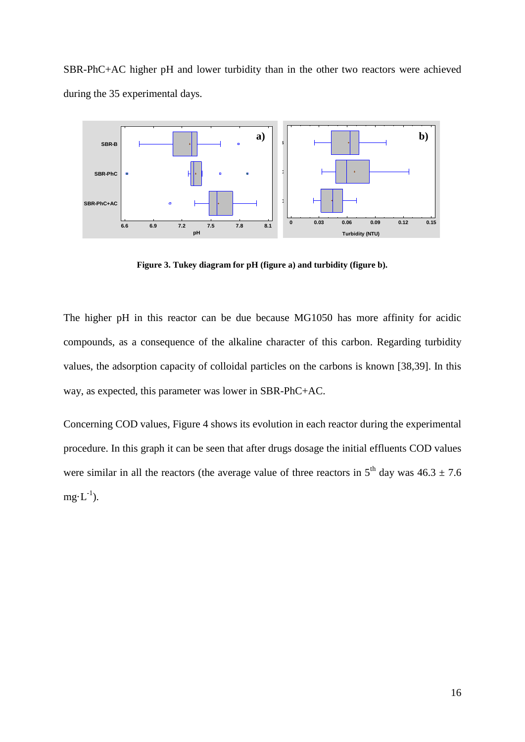SBR-PhC+AC higher pH and lower turbidity than in the other two reactors were achieved during the 35 experimental days.



**Figure 3. Tukey diagram for pH (figure a) and turbidity (figure b).**

The higher pH in this reactor can be due because MG1050 has more affinity for acidic compounds, as a consequence of the alkaline character of this carbon. Regarding turbidity values, the adsorption capacity of colloidal particles on the carbons is known [38,39]. In this way, as expected, this parameter was lower in SBR-PhC+AC.

Concerning COD values, Figure 4 shows its evolution in each reactor during the experimental procedure. In this graph it can be seen that after drugs dosage the initial effluents COD values were similar in all the reactors (the average value of three reactors in  $5<sup>th</sup>$  day was  $46.3 \pm 7.6$  $mg \cdot L^{-1}$ ).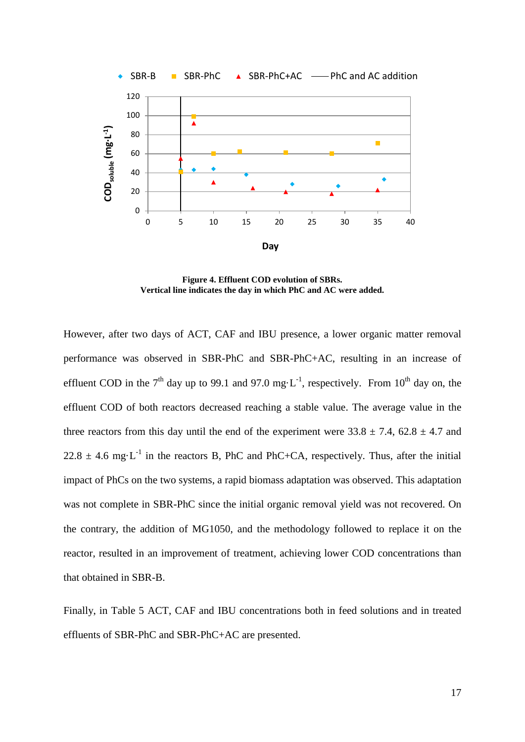

**Figure 4. Effluent COD evolution of SBRs. Vertical line indicates the day in which PhC and AC were added.**

However, after two days of ACT, CAF and IBU presence, a lower organic matter removal performance was observed in SBR-PhC and SBR-PhC+AC, resulting in an increase of effluent COD in the 7<sup>th</sup> day up to 99.1 and 97.0 mg·L<sup>-1</sup>, respectively. From 10<sup>th</sup> day on, the effluent COD of both reactors decreased reaching a stable value. The average value in the three reactors from this day until the end of the experiment were  $33.8 \pm 7.4$ ,  $62.8 \pm 4.7$  and  $22.8 \pm 4.6$  mg·L<sup>-1</sup> in the reactors B, PhC and PhC+CA, respectively. Thus, after the initial impact of PhCs on the two systems, a rapid biomass adaptation was observed. This adaptation was not complete in SBR-PhC since the initial organic removal yield was not recovered. On the contrary, the addition of MG1050, and the methodology followed to replace it on the reactor, resulted in an improvement of treatment, achieving lower COD concentrations than that obtained in SBR-B.

Finally, in Table 5 ACT, CAF and IBU concentrations both in feed solutions and in treated effluents of SBR-PhC and SBR-PhC+AC are presented.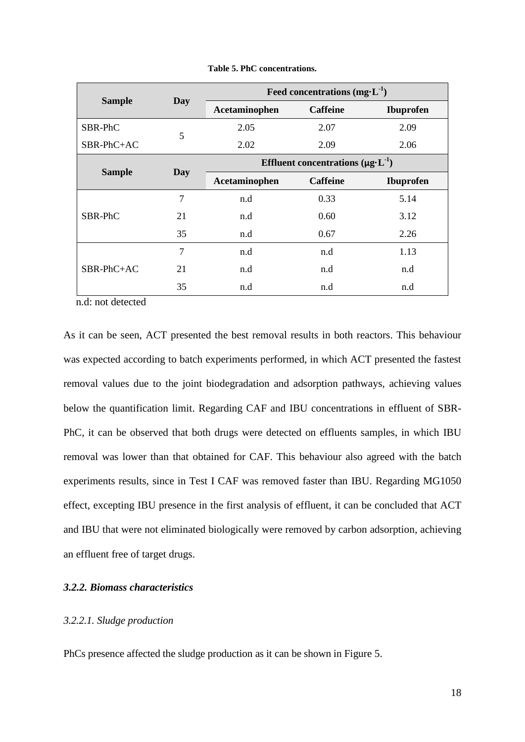|               |     | Feed concentrations $(mg \cdot L^{-1})$ |                                                |                  |  |  |
|---------------|-----|-----------------------------------------|------------------------------------------------|------------------|--|--|
| <b>Sample</b> | Day | Acetaminophen                           | <b>Caffeine</b>                                | <b>Ibuprofen</b> |  |  |
| SBR-PhC       | 5   | 2.05                                    | 2.07                                           | 2.09             |  |  |
| $SBR-PhC+AC$  |     | 2.02                                    | 2.09                                           | 2.06             |  |  |
|               |     |                                         | Effluent concentrations $(\mu g \cdot L^{-1})$ |                  |  |  |
| <b>Sample</b> | Day | Acetaminophen                           | <b>Caffeine</b>                                | <b>Ibuprofen</b> |  |  |
|               | 7   | n.d                                     | 0.33                                           | 5.14             |  |  |
| SBR-PhC       | 21  | n.d                                     | 0.60                                           | 3.12             |  |  |
|               | 35  | n.d                                     | 0.67                                           | 2.26             |  |  |
|               | 7   | n.d                                     | n.d                                            | 1.13             |  |  |
| $SBR-PhC+AC$  | 21  | n.d                                     | n.d                                            | n.d              |  |  |
|               | 35  | n.d                                     | n.d                                            | n.d              |  |  |

**Table 5. PhC concentrations.**

n.d: not detected

As it can be seen, ACT presented the best removal results in both reactors. This behaviour was expected according to batch experiments performed, in which ACT presented the fastest removal values due to the joint biodegradation and adsorption pathways, achieving values below the quantification limit. Regarding CAF and IBU concentrations in effluent of SBR-PhC, it can be observed that both drugs were detected on effluents samples, in which IBU removal was lower than that obtained for CAF. This behaviour also agreed with the batch experiments results, since in Test I CAF was removed faster than IBU. Regarding MG1050 effect, excepting IBU presence in the first analysis of effluent, it can be concluded that ACT and IBU that were not eliminated biologically were removed by carbon adsorption, achieving an effluent free of target drugs.

## *3.2.2. Biomass characteristics*

# *3.2.2.1. Sludge production*

PhCs presence affected the sludge production as it can be shown in Figure 5.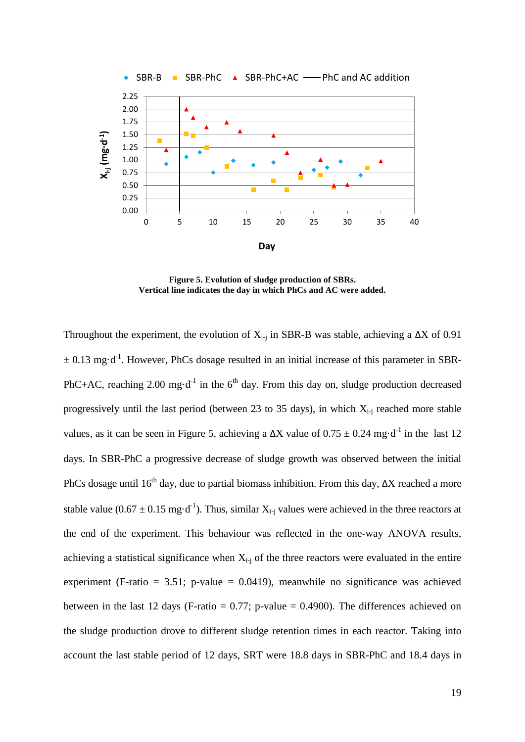

**Figure 5. Evolution of sludge production of SBRs. Vertical line indicates the day in which PhCs and AC were added.**

Throughout the experiment, the evolution of  $X_{i-i}$  in SBR-B was stable, achieving a  $\Delta X$  of 0.91  $\pm$  0.13 mg·d<sup>-1</sup>. However, PhCs dosage resulted in an initial increase of this parameter in SBR-PhC+AC, reaching 2.00 mg $\cdot d^{-1}$  in the 6<sup>th</sup> day. From this day on, sludge production decreased progressively until the last period (between 23 to 35 days), in which  $X_{i-i}$  reached more stable values, as it can be seen in Figure 5, achieving a  $\Delta X$  value of  $0.75 \pm 0.24$  mg·d<sup>-1</sup> in the last 12 days. In SBR-PhC a progressive decrease of sludge growth was observed between the initial PhCs dosage until 16<sup>th</sup> day, due to partial biomass inhibition. From this day,  $\Delta X$  reached a more stable value (0.67  $\pm$  0.15 mg·d<sup>-1</sup>). Thus, similar  $X_{i-j}$  values were achieved in the three reactors at the end of the experiment. This behaviour was reflected in the one-way ANOVA results, achieving a statistical significance when  $X_{i-1}$  of the three reactors were evaluated in the entire experiment (F-ratio = 3.51; p-value =  $0.0419$ ), meanwhile no significance was achieved between in the last 12 days (F-ratio  $= 0.77$ ; p-value  $= 0.4900$ ). The differences achieved on the sludge production drove to different sludge retention times in each reactor. Taking into account the last stable period of 12 days, SRT were 18.8 days in SBR-PhC and 18.4 days in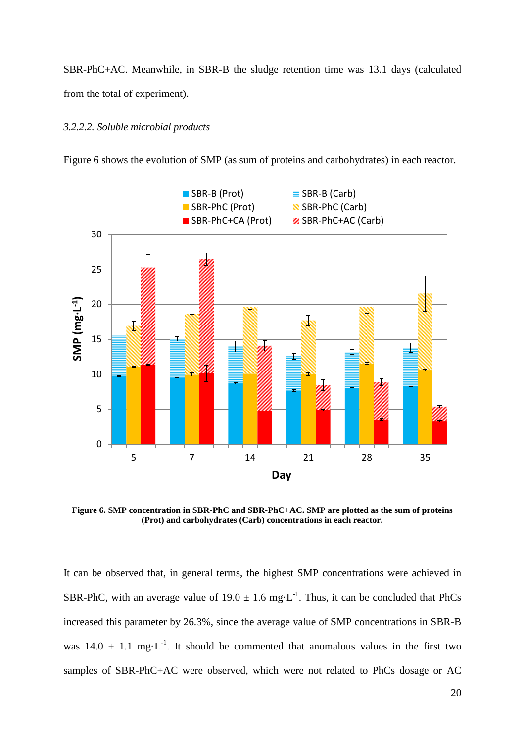SBR-PhC+AC. Meanwhile, in SBR-B the sludge retention time was 13.1 days (calculated from the total of experiment).

#### *3.2.2.2. Soluble microbial products*

Figure 6 shows the evolution of SMP (as sum of proteins and carbohydrates) in each reactor.



**Figure 6. SMP concentration in SBR-PhC and SBR-PhC+AC. SMP are plotted as the sum of proteins (Prot) and carbohydrates (Carb) concentrations in each reactor.** 

It can be observed that, in general terms, the highest SMP concentrations were achieved in SBR-PhC, with an average value of  $19.0 \pm 1.6$  mg $\cdot$ L<sup>-1</sup>. Thus, it can be concluded that PhCs increased this parameter by 26.3%, since the average value of SMP concentrations in SBR-B was  $14.0 \pm 1.1$  mg·L<sup>-1</sup>. It should be commented that anomalous values in the first two samples of SBR-PhC+AC were observed, which were not related to PhCs dosage or AC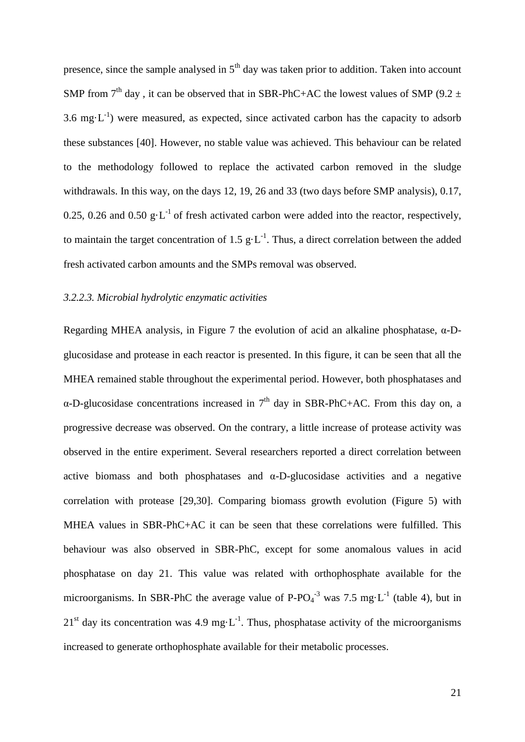presence, since the sample analysed in  $5<sup>th</sup>$  day was taken prior to addition. Taken into account SMP from  $7<sup>th</sup>$  day, it can be observed that in SBR-PhC+AC the lowest values of SMP (9.2  $\pm$ 3.6 mg $\cdot L^{-1}$ ) were measured, as expected, since activated carbon has the capacity to adsorb these substances [40]. However, no stable value was achieved. This behaviour can be related to the methodology followed to replace the activated carbon removed in the sludge withdrawals. In this way, on the days 12, 19, 26 and 33 (two days before SMP analysis), 0.17, 0.25, 0.26 and 0.50 g·L<sup>-1</sup> of fresh activated carbon were added into the reactor, respectively, to maintain the target concentration of 1.5  $g \cdot L^{-1}$ . Thus, a direct correlation between the added fresh activated carbon amounts and the SMPs removal was observed.

### *3.2.2.3. Microbial hydrolytic enzymatic activities*

Regarding MHEA analysis, in Figure 7 the evolution of acid an alkaline phosphatase, α-Dglucosidase and protease in each reactor is presented. In this figure, it can be seen that all the MHEA remained stable throughout the experimental period. However, both phosphatases and  $\alpha$ -D-glucosidase concentrations increased in 7<sup>th</sup> day in SBR-PhC+AC. From this day on, a progressive decrease was observed. On the contrary, a little increase of protease activity was observed in the entire experiment. Several researchers reported a direct correlation between active biomass and both phosphatases and  $\alpha$ -D-glucosidase activities and a negative correlation with protease [29,30]. Comparing biomass growth evolution (Figure 5) with MHEA values in SBR-PhC+AC it can be seen that these correlations were fulfilled. This behaviour was also observed in SBR-PhC, except for some anomalous values in acid phosphatase on day 21. This value was related with orthophosphate available for the microorganisms. In SBR-PhC the average value of  $P$ -PO<sub>4</sub><sup>-3</sup> was 7.5 mg·L<sup>-1</sup> (table 4), but in  $21<sup>st</sup>$  day its concentration was 4.9 mg·L<sup>-1</sup>. Thus, phosphatase activity of the microorganisms increased to generate orthophosphate available for their metabolic processes.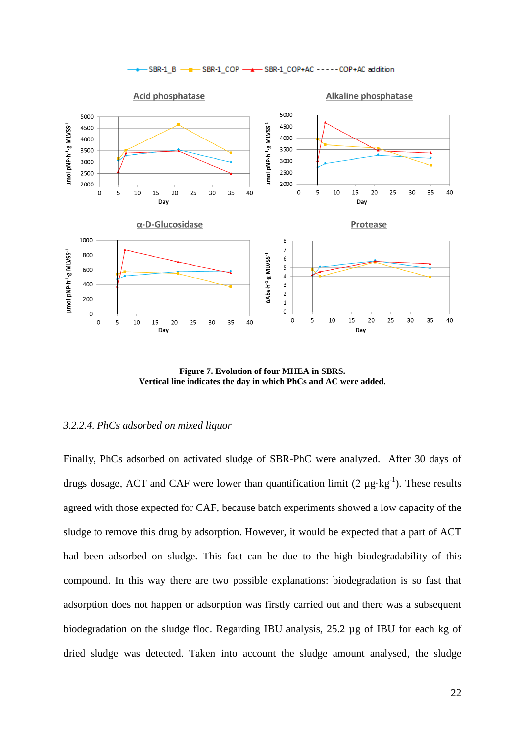

**Figure 7. Evolution of four MHEA in SBRS. Vertical line indicates the day in which PhCs and AC were added.**

### *3.2.2.4. PhCs adsorbed on mixed liquor*

Finally, PhCs adsorbed on activated sludge of SBR-PhC were analyzed. After 30 days of drugs dosage, ACT and CAF were lower than quantification limit (2  $\mu$ g·kg<sup>-1</sup>). These results agreed with those expected for CAF, because batch experiments showed a low capacity of the sludge to remove this drug by adsorption. However, it would be expected that a part of ACT had been adsorbed on sludge. This fact can be due to the high biodegradability of this compound. In this way there are two possible explanations: biodegradation is so fast that adsorption does not happen or adsorption was firstly carried out and there was a subsequent biodegradation on the sludge floc. Regarding IBU analysis, 25.2 µg of IBU for each kg of dried sludge was detected. Taken into account the sludge amount analysed, the sludge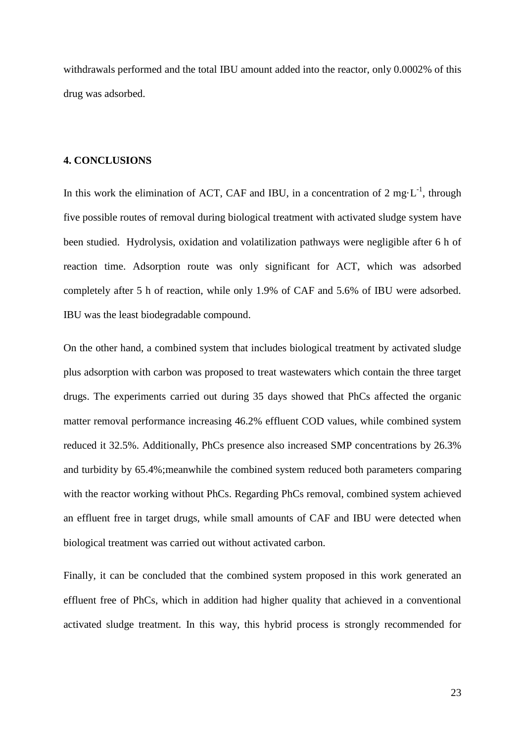withdrawals performed and the total IBU amount added into the reactor, only 0.0002% of this drug was adsorbed.

## **4. CONCLUSIONS**

In this work the elimination of ACT, CAF and IBU, in a concentration of 2 mg $\cdot$ L<sup>-1</sup>, through five possible routes of removal during biological treatment with activated sludge system have been studied. Hydrolysis, oxidation and volatilization pathways were negligible after 6 h of reaction time. Adsorption route was only significant for ACT, which was adsorbed completely after 5 h of reaction, while only 1.9% of CAF and 5.6% of IBU were adsorbed. IBU was the least biodegradable compound.

On the other hand, a combined system that includes biological treatment by activated sludge plus adsorption with carbon was proposed to treat wastewaters which contain the three target drugs. The experiments carried out during 35 days showed that PhCs affected the organic matter removal performance increasing 46.2% effluent COD values, while combined system reduced it 32.5%. Additionally, PhCs presence also increased SMP concentrations by 26.3% and turbidity by 65.4%;meanwhile the combined system reduced both parameters comparing with the reactor working without PhCs. Regarding PhCs removal, combined system achieved an effluent free in target drugs, while small amounts of CAF and IBU were detected when biological treatment was carried out without activated carbon.

Finally, it can be concluded that the combined system proposed in this work generated an effluent free of PhCs, which in addition had higher quality that achieved in a conventional activated sludge treatment. In this way, this hybrid process is strongly recommended for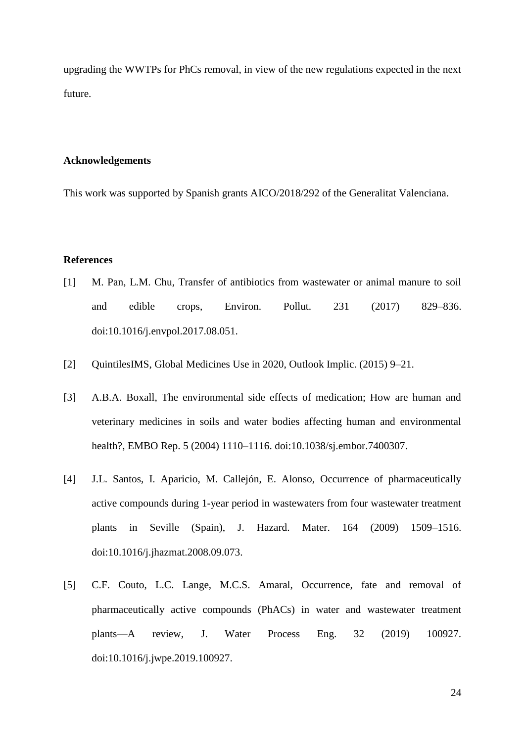upgrading the WWTPs for PhCs removal, in view of the new regulations expected in the next future.

# **Acknowledgements**

This work was supported by Spanish grants AICO/2018/292 of the Generalitat Valenciana.

## **References**

- [1] M. Pan, L.M. Chu, Transfer of antibiotics from wastewater or animal manure to soil and edible crops, Environ. Pollut. 231 (2017) 829–836. doi:10.1016/j.envpol.2017.08.051.
- [2] QuintilesIMS, Global Medicines Use in 2020, Outlook Implic. (2015) 9–21.
- [3] A.B.A. Boxall, The environmental side effects of medication; How are human and veterinary medicines in soils and water bodies affecting human and environmental health?, EMBO Rep. 5 (2004) 1110–1116. doi:10.1038/sj.embor.7400307.
- [4] J.L. Santos, I. Aparicio, M. Callejón, E. Alonso, Occurrence of pharmaceutically active compounds during 1-year period in wastewaters from four wastewater treatment plants in Seville (Spain), J. Hazard. Mater. 164 (2009) 1509–1516. doi:10.1016/j.jhazmat.2008.09.073.
- [5] C.F. Couto, L.C. Lange, M.C.S. Amaral, Occurrence, fate and removal of pharmaceutically active compounds (PhACs) in water and wastewater treatment plants—A review, J. Water Process Eng. 32 (2019) 100927. doi:10.1016/j.jwpe.2019.100927.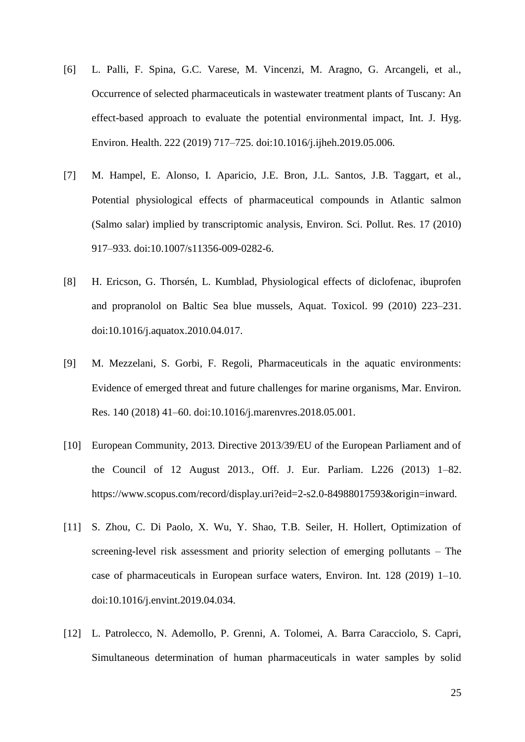- [6] L. Palli, F. Spina, G.C. Varese, M. Vincenzi, M. Aragno, G. Arcangeli, et al., Occurrence of selected pharmaceuticals in wastewater treatment plants of Tuscany: An effect-based approach to evaluate the potential environmental impact, Int. J. Hyg. Environ. Health. 222 (2019) 717–725. doi:10.1016/j.ijheh.2019.05.006.
- [7] M. Hampel, E. Alonso, I. Aparicio, J.E. Bron, J.L. Santos, J.B. Taggart, et al., Potential physiological effects of pharmaceutical compounds in Atlantic salmon (Salmo salar) implied by transcriptomic analysis, Environ. Sci. Pollut. Res. 17 (2010) 917–933. doi:10.1007/s11356-009-0282-6.
- [8] H. Ericson, G. Thorsén, L. Kumblad, Physiological effects of diclofenac, ibuprofen and propranolol on Baltic Sea blue mussels, Aquat. Toxicol. 99 (2010) 223–231. doi:10.1016/j.aquatox.2010.04.017.
- [9] M. Mezzelani, S. Gorbi, F. Regoli, Pharmaceuticals in the aquatic environments: Evidence of emerged threat and future challenges for marine organisms, Mar. Environ. Res. 140 (2018) 41–60. doi:10.1016/j.marenvres.2018.05.001.
- [10] European Community, 2013. Directive 2013/39/EU of the European Parliament and of the Council of 12 August 2013., Off. J. Eur. Parliam. L226 (2013) 1–82. https://www.scopus.com/record/display.uri?eid=2-s2.0-84988017593&origin=inward.
- [11] S. Zhou, C. Di Paolo, X. Wu, Y. Shao, T.B. Seiler, H. Hollert, Optimization of screening-level risk assessment and priority selection of emerging pollutants – The case of pharmaceuticals in European surface waters, Environ. Int. 128 (2019) 1–10. doi:10.1016/j.envint.2019.04.034.
- [12] L. Patrolecco, N. Ademollo, P. Grenni, A. Tolomei, A. Barra Caracciolo, S. Capri, Simultaneous determination of human pharmaceuticals in water samples by solid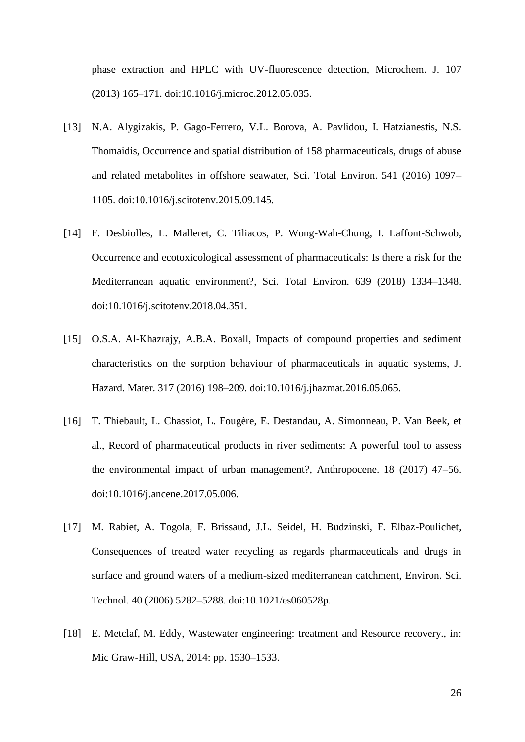phase extraction and HPLC with UV-fluorescence detection, Microchem. J. 107 (2013) 165–171. doi:10.1016/j.microc.2012.05.035.

- [13] N.A. Alygizakis, P. Gago-Ferrero, V.L. Borova, A. Pavlidou, I. Hatzianestis, N.S. Thomaidis, Occurrence and spatial distribution of 158 pharmaceuticals, drugs of abuse and related metabolites in offshore seawater, Sci. Total Environ. 541 (2016) 1097– 1105. doi:10.1016/j.scitotenv.2015.09.145.
- [14] F. Desbiolles, L. Malleret, C. Tiliacos, P. Wong-Wah-Chung, I. Laffont-Schwob, Occurrence and ecotoxicological assessment of pharmaceuticals: Is there a risk for the Mediterranean aquatic environment?, Sci. Total Environ. 639 (2018) 1334–1348. doi:10.1016/j.scitotenv.2018.04.351.
- [15] O.S.A. Al-Khazrajy, A.B.A. Boxall, Impacts of compound properties and sediment characteristics on the sorption behaviour of pharmaceuticals in aquatic systems, J. Hazard. Mater. 317 (2016) 198–209. doi:10.1016/j.jhazmat.2016.05.065.
- [16] T. Thiebault, L. Chassiot, L. Fougère, E. Destandau, A. Simonneau, P. Van Beek, et al., Record of pharmaceutical products in river sediments: A powerful tool to assess the environmental impact of urban management?, Anthropocene. 18 (2017) 47–56. doi:10.1016/j.ancene.2017.05.006.
- [17] M. Rabiet, A. Togola, F. Brissaud, J.L. Seidel, H. Budzinski, F. Elbaz-Poulichet, Consequences of treated water recycling as regards pharmaceuticals and drugs in surface and ground waters of a medium-sized mediterranean catchment, Environ. Sci. Technol. 40 (2006) 5282–5288. doi:10.1021/es060528p.
- [18] E. Metclaf, M. Eddy, Wastewater engineering: treatment and Resource recovery., in: Mic Graw-Hill, USA, 2014: pp. 1530–1533.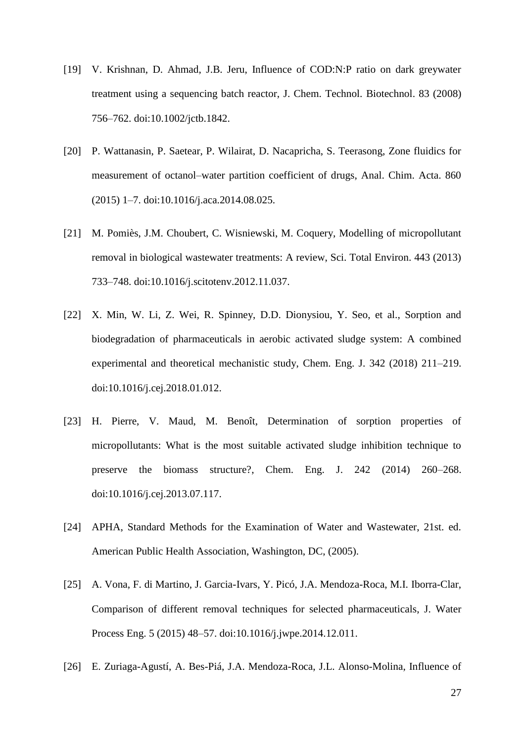- [19] V. Krishnan, D. Ahmad, J.B. Jeru, Influence of COD:N:P ratio on dark greywater treatment using a sequencing batch reactor, J. Chem. Technol. Biotechnol. 83 (2008) 756–762. doi:10.1002/jctb.1842.
- [20] P. Wattanasin, P. Saetear, P. Wilairat, D. Nacapricha, S. Teerasong, Zone fluidics for measurement of octanol–water partition coefficient of drugs, Anal. Chim. Acta. 860 (2015) 1–7. doi:10.1016/j.aca.2014.08.025.
- [21] M. Pomiès, J.M. Choubert, C. Wisniewski, M. Coquery, Modelling of micropollutant removal in biological wastewater treatments: A review, Sci. Total Environ. 443 (2013) 733–748. doi:10.1016/j.scitotenv.2012.11.037.
- [22] X. Min, W. Li, Z. Wei, R. Spinney, D.D. Dionysiou, Y. Seo, et al., Sorption and biodegradation of pharmaceuticals in aerobic activated sludge system: A combined experimental and theoretical mechanistic study, Chem. Eng. J. 342 (2018) 211–219. doi:10.1016/j.cej.2018.01.012.
- [23] H. Pierre, V. Maud, M. Benoît, Determination of sorption properties of micropollutants: What is the most suitable activated sludge inhibition technique to preserve the biomass structure?, Chem. Eng. J. 242 (2014) 260–268. doi:10.1016/j.cej.2013.07.117.
- [24] APHA, Standard Methods for the Examination of Water and Wastewater, 21st. ed. American Public Health Association, Washington, DC, (2005).
- [25] A. Vona, F. di Martino, J. Garcia-Ivars, Y. Picó, J.A. Mendoza-Roca, M.I. Iborra-Clar, Comparison of different removal techniques for selected pharmaceuticals, J. Water Process Eng. 5 (2015) 48–57. doi:10.1016/j.jwpe.2014.12.011.
- [26] E. Zuriaga-Agustí, A. Bes-Piá, J.A. Mendoza-Roca, J.L. Alonso-Molina, Influence of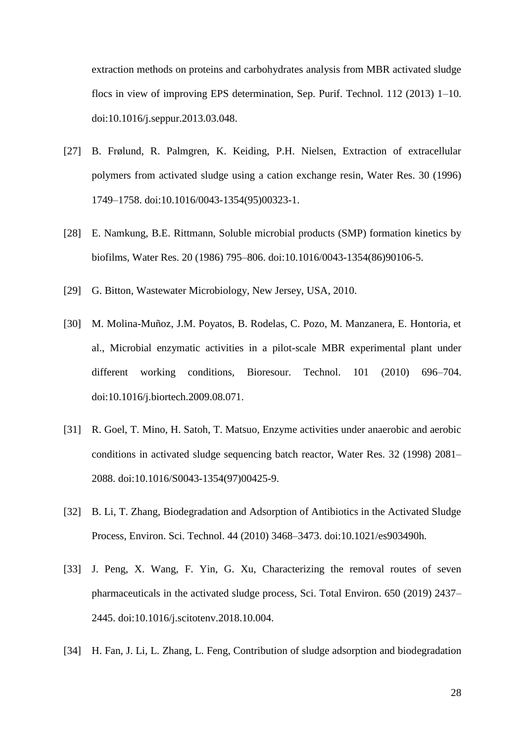extraction methods on proteins and carbohydrates analysis from MBR activated sludge flocs in view of improving EPS determination, Sep. Purif. Technol. 112 (2013) 1–10. doi:10.1016/j.seppur.2013.03.048.

- [27] B. Frølund, R. Palmgren, K. Keiding, P.H. Nielsen, Extraction of extracellular polymers from activated sludge using a cation exchange resin, Water Res. 30 (1996) 1749–1758. doi:10.1016/0043-1354(95)00323-1.
- [28] E. Namkung, B.E. Rittmann, Soluble microbial products (SMP) formation kinetics by biofilms, Water Res. 20 (1986) 795–806. doi:10.1016/0043-1354(86)90106-5.
- [29] G. Bitton, Wastewater Microbiology, New Jersey, USA, 2010.
- [30] M. Molina-Muñoz, J.M. Poyatos, B. Rodelas, C. Pozo, M. Manzanera, E. Hontoria, et al., Microbial enzymatic activities in a pilot-scale MBR experimental plant under different working conditions, Bioresour. Technol. 101 (2010) 696–704. doi:10.1016/j.biortech.2009.08.071.
- [31] R. Goel, T. Mino, H. Satoh, T. Matsuo, Enzyme activities under anaerobic and aerobic conditions in activated sludge sequencing batch reactor, Water Res. 32 (1998) 2081– 2088. doi:10.1016/S0043-1354(97)00425-9.
- [32] B. Li, T. Zhang, Biodegradation and Adsorption of Antibiotics in the Activated Sludge Process, Environ. Sci. Technol. 44 (2010) 3468–3473. doi:10.1021/es903490h.
- [33] J. Peng, X. Wang, F. Yin, G. Xu, Characterizing the removal routes of seven pharmaceuticals in the activated sludge process, Sci. Total Environ. 650 (2019) 2437– 2445. doi:10.1016/j.scitotenv.2018.10.004.
- [34] H. Fan, J. Li, L. Zhang, L. Feng, Contribution of sludge adsorption and biodegradation